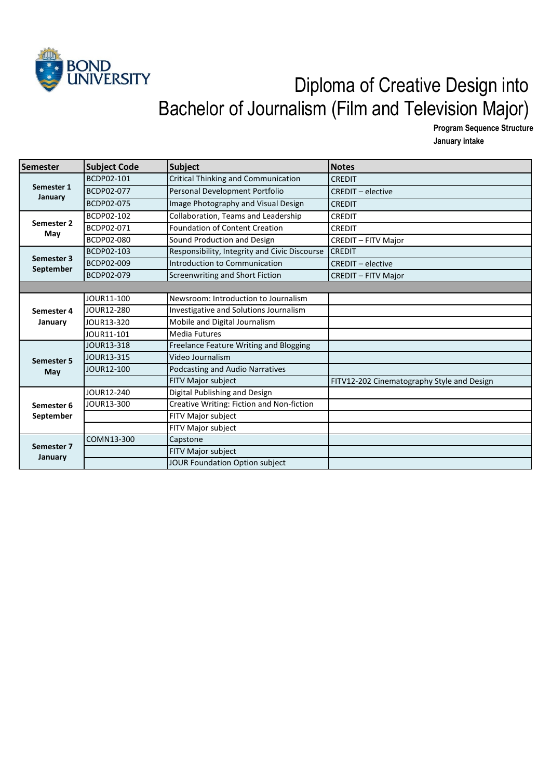

## Diploma of Creative Design into Bachelor of Journalism (Film and Television Major)

**Program Sequence Structure**

**January intake** 

| Semester                | <b>Subject Code</b> | Subject                                       | <b>Notes</b>                               |
|-------------------------|---------------------|-----------------------------------------------|--------------------------------------------|
| Semester 1<br>January   | BCDP02-101          | Critical Thinking and Communication           | <b>CREDIT</b>                              |
|                         | BCDP02-077          | Personal Development Portfolio                | <b>CREDIT - elective</b>                   |
|                         | BCDP02-075          | Image Photography and Visual Design           | <b>CREDIT</b>                              |
| Semester 2<br>May       | BCDP02-102          | Collaboration, Teams and Leadership           | <b>CREDIT</b>                              |
|                         | BCDP02-071          | Foundation of Content Creation                | CREDIT                                     |
|                         | BCDP02-080          | Sound Production and Design                   | <b>CREDIT - FITV Major</b>                 |
| Semester 3              | BCDP02-103          | Responsibility, Integrity and Civic Discourse | <b>CREDIT</b>                              |
|                         | BCDP02-009          | Introduction to Communication                 | <b>CREDIT - elective</b>                   |
| September               | BCDP02-079          | Screenwriting and Short Fiction               | <b>CREDIT - FITV Major</b>                 |
|                         |                     |                                               |                                            |
|                         | JOUR11-100          | Newsroom: Introduction to Journalism          |                                            |
| Semester 4<br>January   | JOUR12-280          | Investigative and Solutions Journalism        |                                            |
|                         | JOUR13-320          | Mobile and Digital Journalism                 |                                            |
|                         | JOUR11-101          | <b>Media Futures</b>                          |                                            |
|                         | JOUR13-318          | Freelance Feature Writing and Blogging        |                                            |
| <b>Semester 5</b>       | JOUR13-315          | Video Journalism                              |                                            |
| May                     | JOUR12-100          | Podcasting and Audio Narratives               |                                            |
|                         |                     | FITV Major subject                            | FITV12-202 Cinematography Style and Design |
| Semester 6<br>September | JOUR12-240          | Digital Publishing and Design                 |                                            |
|                         | JOUR13-300          | Creative Writing: Fiction and Non-fiction     |                                            |
|                         |                     | FITV Major subject                            |                                            |
|                         |                     | FITV Major subject                            |                                            |
| Semester 7<br>January   | COMN13-300          | Capstone                                      |                                            |
|                         |                     | FITV Major subject                            |                                            |
|                         |                     | JOUR Foundation Option subject                |                                            |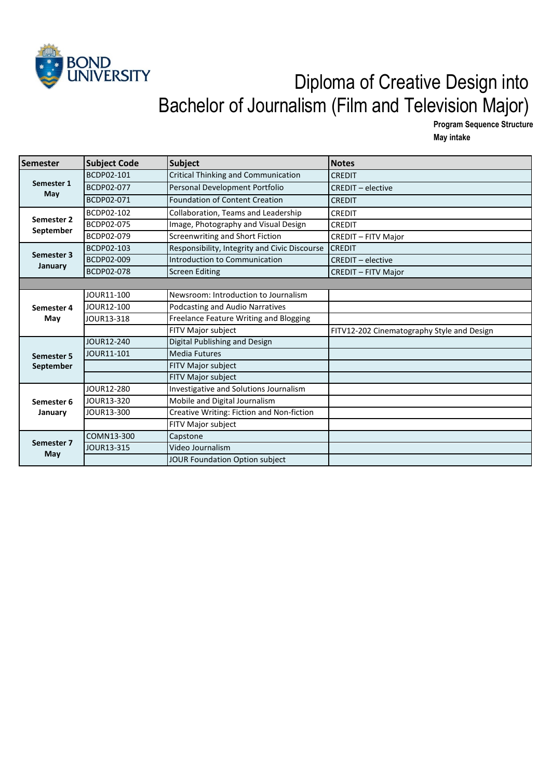

## Diploma of Creative Design into Bachelor of Journalism (Film and Television Major)

**Program Sequence Structure May intake** 

| Semester                | <b>Subject Code</b> | <b>Subject</b>                                | <b>Notes</b>                               |
|-------------------------|---------------------|-----------------------------------------------|--------------------------------------------|
| Semester 1<br>May       | BCDP02-101          | Critical Thinking and Communication           | <b>CREDIT</b>                              |
|                         | <b>BCDP02-077</b>   | Personal Development Portfolio                | <b>CREDIT - elective</b>                   |
|                         | BCDP02-071          | <b>Foundation of Content Creation</b>         | <b>CREDIT</b>                              |
| Semester 2<br>September | BCDP02-102          | Collaboration, Teams and Leadership           | <b>CREDIT</b>                              |
|                         | <b>BCDP02-075</b>   | Image, Photography and Visual Design          | <b>CREDIT</b>                              |
|                         | BCDP02-079          | Screenwriting and Short Fiction               | <b>CREDIT - FITV Major</b>                 |
|                         | <b>BCDP02-103</b>   | Responsibility, Integrity and Civic Discourse | <b>CREDIT</b>                              |
| Semester 3              | <b>BCDP02-009</b>   | Introduction to Communication                 | <b>CREDIT - elective</b>                   |
| January                 | <b>BCDP02-078</b>   | <b>Screen Editing</b>                         | <b>CREDIT - FITV Major</b>                 |
|                         |                     |                                               |                                            |
|                         | JOUR11-100          | Newsroom: Introduction to Journalism          |                                            |
| Semester 4<br>May       | JOUR12-100          | Podcasting and Audio Narratives               |                                            |
|                         | JOUR13-318          | Freelance Feature Writing and Blogging        |                                            |
|                         |                     | FITV Major subject                            | FITV12-202 Cinematography Style and Design |
|                         | JOUR12-240          | Digital Publishing and Design                 |                                            |
| <b>Semester 5</b>       | JOUR11-101          | <b>Media Futures</b>                          |                                            |
| <b>September</b>        |                     | FITV Major subject                            |                                            |
|                         |                     | FITV Major subject                            |                                            |
| Semester 6<br>January   | JOUR12-280          | Investigative and Solutions Journalism        |                                            |
|                         | JOUR13-320          | Mobile and Digital Journalism                 |                                            |
|                         | JOUR13-300          | Creative Writing: Fiction and Non-fiction     |                                            |
|                         |                     | FITV Major subject                            |                                            |
| Semester 7<br>May       | COMN13-300          | Capstone                                      |                                            |
|                         | JOUR13-315          | Video Journalism                              |                                            |
|                         |                     | JOUR Foundation Option subject                |                                            |